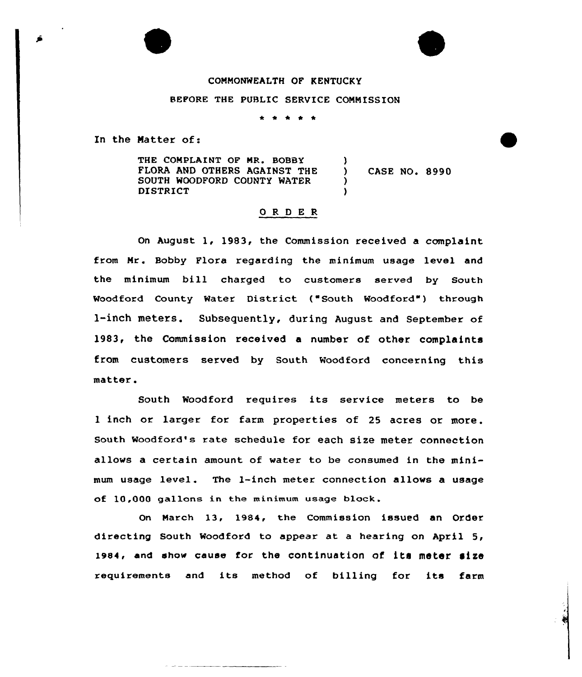## COMMONWEALTH OF KENTUCKY

## BEFORE THE PUBLIC SERVICE COMMISSION

. . . . .

In the Matter of:

THE COMPLAINT OF MR. BOBBY FLORA AND OTHERS AGAINST THE SOUTH WOODFORD COUNTY WATER DISTRICT ) ) CASE NO. 8990 ) )

## ORDER

On August 1, 1983, the Commission received a complaint from Hr. Bobby Flora regarding the minimum usage level and the minimum bill charged to customers served by South Woodford County Water District ("South Woodford") through l-inch meters. Subsequently, during August and September of l983, the Commission received a number of other complaints from customers served by South Woodford concerning this matter.

South Woodford requires its service meters to be l inch or larger for farm properties of 25 acres or more. south woodford's rate schedule for each size meter connection allows a certain amount of water to be consumed in the minimum usage level. The l-inch meter connection allows a usage of 10,000 gallons in the minimum usage block

On March l3, 1984, the Commission issued an Order directing South Woodford to appear at a hearing on April 5, 1984, and show cause for the continuation of its meter size requirements and its method of billing for its farm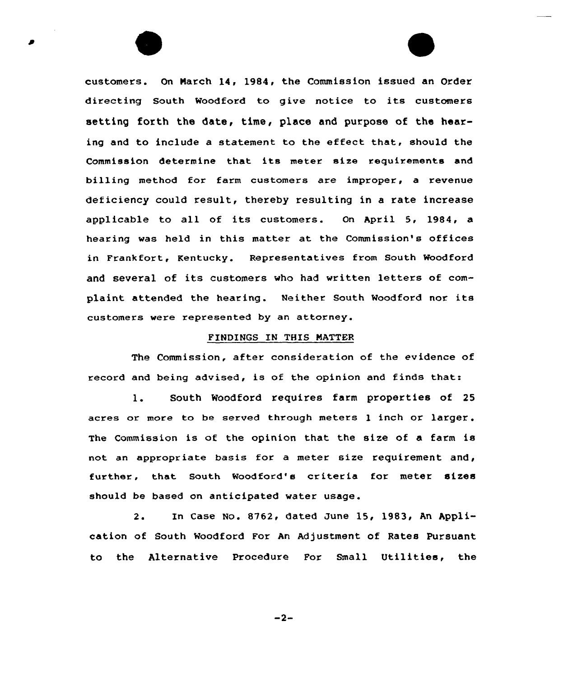customers. On Narch 14, 1984, the Commission issued an Order directing South Waodford to give notice to its customers setting forth the date, time, p1ace and purpose of the hearing and to include a statement to the effect that, should the Commission determine that its meter size requirements and billing method for farm customers are improper, a revenue deficiency could result, thereby resulting in a rate increase applicable to all of its customers. On April 5, 1984, <sup>a</sup> hearing was held in this matter at the Commission's offices in Frankfort, Kentucky. Representatives from South Woodford and several of its customers who had written letters of complaint attended the hearing. Neither South Woodford nor its customers were represented by an attorney.

## FINDINGS IN THIS NATTER

The Commission, after consideration of the evidence of record and being advised, is of the opinion and finds that:

1. South Woodford requires farm properties of <sup>25</sup> acres or more to be served through meters 1 inch or larger. The Commission is of the opinion that the size of a farm is not an appropriate basis for a meter size requirement and, further, that South Woadford's criteria for meter sizes should be based on anticipated water usage.

2. In Case No. 8762, dated Dune 15, 1983, An Application of South Woodford For An Adjustment of Rates Pursuant to the Alternative Procedure Far Small Utilities, the

 $-2-$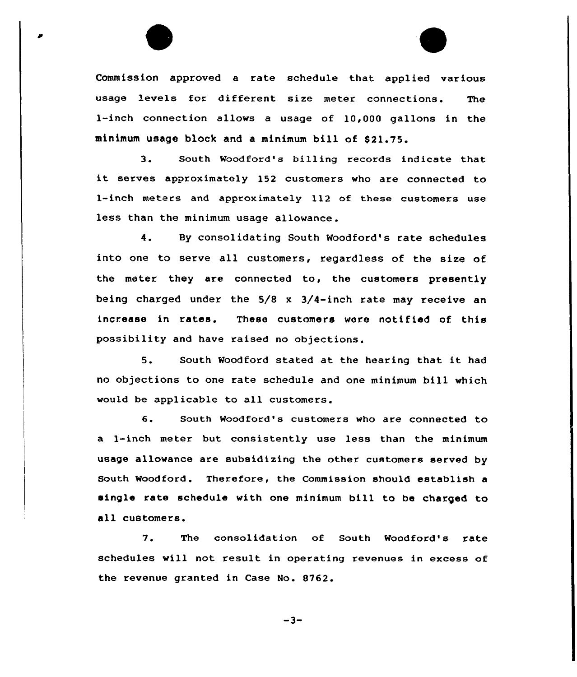Commission approved a rate schedule that applied various usage levels for different size meter connections. The 1-inch connection allows a usage of 10,000 gallons in the minimum usage block and a minimum bill of \$21.75.

3. South Woodford's billing records indicate that it serves approximately <sup>152</sup> customers who are connected to 1-inch meters and approximately 112 of these customers use less than the minimum usage allowance.

4. By consolidating South Woodford's rate schedules into one to serve all customers, regardless of the size of the meter they are connected to, the customers presently being charged under the 5/8 x 3/4-inch rate may receive an increase in rates. These customers were notified of this possibility and have raised no objections.

5. South Woodford stated at the hearing that it had no objections to one rate schedule and one minimum bill which would be applicable to all customers.

6. South Woodford's customers who are connected to a 1-inch meter but consistently use less than the minimum usage allowance are subsidizing the other customers served by South Woodford. Therefore, the Commission should establish a single rate schedule with one minimum bill to be charged to all customers.

7. The consolidation of South Woodford's rate schedules will not result in operating revenues in excess of the revenue granted in Case No. 8762.

 $-3-$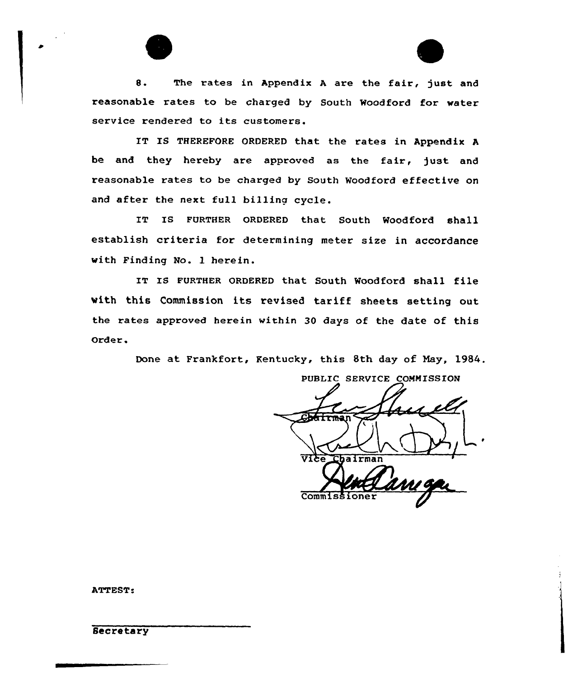8. The rates in Appendix A are the fair, just and reasonable rates to be charged by South Woodford for water service rendered to its customers.

IT IS THEREFORE ORDERED that the rates in Appendix A be and they hereby are approved as the fair, just and reasonable rates to be charged by South Noodford effective on and after the next full billing cycle.

IT IS FURTHER ORDERED that South Woodford shall establish criteria for determining meter size in accordance with Finding No. l herein.

IT IS FURTHER ORDERED that South Woodford shall file with this Commission its revised tariff sheets setting out the rates approved herein within 30 days of the date of this Order.

Done at Frankfort, Kentucky, this 8th day of May, 1984.

PUBLIC SERVICE COMMISSION hairman  $CommIs$ 

ATTEST

**Secretary**